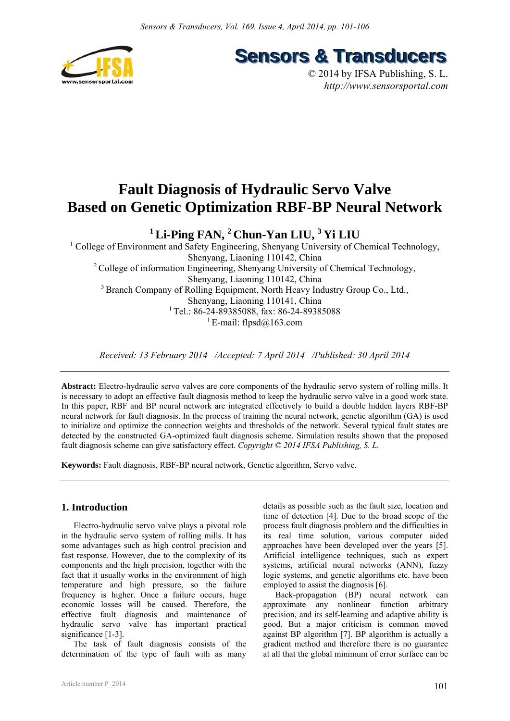

**Sensors & Transducers** 

© 2014 by IFSA Publishing, S. L. *http://www.sensorsportal.com*

# **Fault Diagnosis of Hydraulic Servo Valve Based on Genetic Optimization RBF-BP Neural Network**

# **1 Li-Ping FAN, 2 Chun-Yan LIU, 3 Yi LIU**

<sup>1</sup> College of Environment and Safety Engineering, Shenyang University of Chemical Technology, Shenyang, Liaoning 110142, China <sup>2</sup> College of information Engineering, Shenyang University of Chemical Technology, Shenyang, Liaoning 110142, China <sup>3</sup> Branch Company of Rolling Equipment, North Heavy Industry Group Co., Ltd., Shenyang, Liaoning 110141, China <sup>1</sup> Tel.: 86-24-89385088, fax: 86-24-89385088 <sup>1</sup> E-mail: flpsd $@163$ .com

*Received: 13 February 2014 /Accepted: 7 April 2014 /Published: 30 April 2014* 

**Abstract:** Electro-hydraulic servo valves are core components of the hydraulic servo system of rolling mills. It is necessary to adopt an effective fault diagnosis method to keep the hydraulic servo valve in a good work state. In this paper, RBF and BP neural network are integrated effectively to build a double hidden layers RBF-BP neural network for fault diagnosis. In the process of training the neural network, genetic algorithm (GA) is used to initialize and optimize the connection weights and thresholds of the network. Several typical fault states are detected by the constructed GA-optimized fault diagnosis scheme. Simulation results shown that the proposed fault diagnosis scheme can give satisfactory effect. *Copyright © 2014 IFSA Publishing, S. L.*

**Keywords:** Fault diagnosis, RBF-BP neural network, Genetic algorithm, Servo valve.

# **1. Introduction**

Electro-hydraulic servo valve plays a pivotal role in the hydraulic servo system of rolling mills. It has some advantages such as high control precision and fast response. However, due to the complexity of its components and the high precision, together with the fact that it usually works in the environment of high temperature and high pressure, so the failure frequency is higher. Once a failure occurs, huge economic losses will be caused. Therefore, the effective fault diagnosis and maintenance of hydraulic servo valve has important practical significance [1-3].

The task of fault diagnosis consists of the determination of the type of fault with as many

details as possible such as the fault size, location and time of detection [4]. Due to the broad scope of the process fault diagnosis problem and the difficulties in its real time solution, various computer aided approaches have been developed over the years [5]. Artificial intelligence techniques, such as expert systems, artificial neural networks (ANN), fuzzy logic systems, and genetic algorithms etc. have been employed to assist the diagnosis [6].

Back-propagation (BP) neural network can approximate any nonlinear function arbitrary precision, and its self-learning and adaptive ability is good. But a major criticism is common moved against BP algorithm [7]. BP algorithm is actually a gradient method and therefore there is no guarantee at all that the global minimum of error surface can be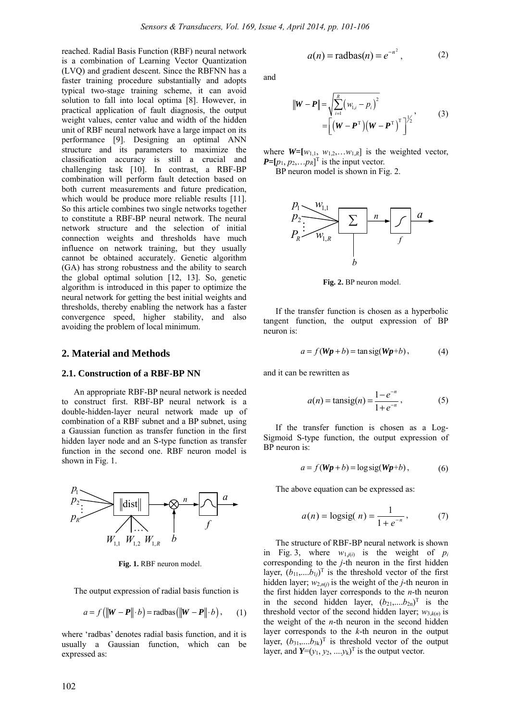reached. Radial Basis Function (RBF) neural network is a combination of Learning Vector Quantization (LVQ) and gradient descent. Since the RBFNN has a faster training procedure substantially and adopts typical two-stage training scheme, it can avoid solution to fall into local optima [8]. However, in practical application of fault diagnosis, the output weight values, center value and width of the hidden unit of RBF neural network have a large impact on its performance [9]. Designing an optimal ANN structure and its parameters to maximize the classification accuracy is still a crucial and challenging task [10]. In contrast, a RBF-BP combination will perform fault detection based on both current measurements and future predication, which would be produce more reliable results [11]. So this article combines two single networks together to constitute a RBF-BP neural network. The neural network structure and the selection of initial connection weights and thresholds have much influence on network training, but they usually cannot be obtained accurately. Genetic algorithm (GA) has strong robustness and the ability to search the global optimal solution [12, 13]. So, genetic algorithm is introduced in this paper to optimize the neural network for getting the best initial weights and thresholds, thereby enabling the network has a faster convergence speed, higher stability, and also avoiding the problem of local minimum.

#### **2. Material and Methods**

#### **2.1. Construction of a RBF-BP NN**

An appropriate RBF-BP neural network is needed to construct first. RBF-BP neural network is a double-hidden-layer neural network made up of combination of a RBF subnet and a BP subnet, using a Gaussian function as transfer function in the first hidden layer node and an S-type function as transfer function in the second one. RBF neuron model is shown in Fig. 1.



**Fig. 1.** RBF neuron model.

The output expression of radial basis function is

$$
a = f\left(\left\|\mathbf{W} - \mathbf{P}\right\| \cdot b\right) = \text{radbas}\left(\left\|\mathbf{W} - \mathbf{P}\right\| \cdot b\right),\qquad(1)
$$

where 'radbas' denotes radial basis function, and it is usually a Gaussian function, which can be expressed as:

$$
a(n) = \text{radbas}(n) = e^{-n^2}, \tag{2}
$$

and

$$
\|\mathbf{W} - \mathbf{P}\| = \sqrt{\sum_{i=1}^{R} (w_{1,i} - p_i)^2}
$$
  
= 
$$
\left[ (\mathbf{W} - \mathbf{P}^{T})(\mathbf{W} - \mathbf{P}^{T})^T \right]^{1/2}
$$
 (3)

where  $W=[w_{1,1}, w_{1,2}, \ldots w_{1,R}]$  is the weighted vector,  $P=[p_1, p_2,...p_R]^T$  is the input vector.

BP neuron model is shown in Fig. 2.



**Fig. 2.** BP neuron model.

If the transfer function is chosen as a hyperbolic tangent function, the output expression of BP neuron is:

$$
a = f(Wp + b) = \tan \text{sig}(Wp + b), \tag{4}
$$

and it can be rewritten as

$$
a(n) = \tan \left( \frac{n}{2} \right) = \frac{1 - e^{-n}}{1 + e^{-n}},
$$
 (5)

If the transfer function is chosen as a Log-Sigmoid S-type function, the output expression of BP neuron is:

$$
a = f(Wp + b) = \log \text{sig}(Wp + b), \tag{6}
$$

The above equation can be expressed as:

$$
a(n) = \text{logsig}(n) = \frac{1}{1 + e^{-n}},
$$
 (7)

The structure of RBF-BP neural network is shown in Fig. 3, where  $w_{1,j(i)}$  is the weight of  $p_i$ corresponding to the *j*-th neuron in the first hidden layer,  $(b_{11},...,b_{1j})^T$  is the threshold vector of the first hidden layer;  $w_{2,n(j)}$  is the weight of the *j*-th neuron in the first hidden layer corresponds to the *n*-th neuron in the second hidden layer,  $(b_{21}, \ldots, b_{2n})^T$  is the threshold vector of the second hidden layer;  $w_{3,k(n)}$  is the weight of the *n*-th neuron in the second hidden layer corresponds to the *k*-th neuron in the output layer,  $(b_{31}, \ldots, b_{3k})^T$  is threshold vector of the output layer, and  $Y=(y_1, y_2, ..., y_k)^\text{T}$  is the output vector.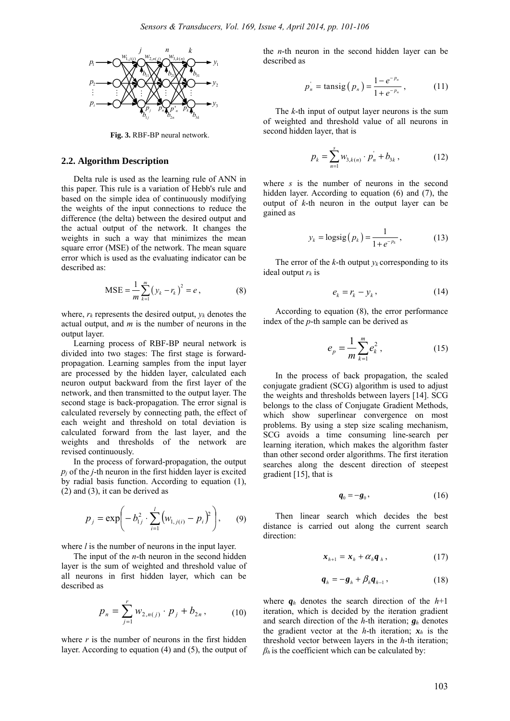

**Fig. 3.** RBF-BP neural network.

#### **2.2. Algorithm Description**

Delta rule is used as the learning rule of ANN in this paper. This rule is a variation of Hebb's rule and based on the simple idea of continuously modifying the weights of the input connections to reduce the difference (the delta) between the desired output and the actual output of the network. It changes the weights in such a way that minimizes the mean square error (MSE) of the network. The mean square error which is used as the evaluating indicator can be described as:

$$
MSE = \frac{1}{m} \sum_{k=1}^{m} (y_k - r_k)^2 = e, \qquad (8)
$$

where,  $r_k$  represents the desired output,  $v_k$  denotes the actual output, and *m* is the number of neurons in the output layer.

Learning process of RBF-BP neural network is divided into two stages: The first stage is forwardpropagation. Learning samples from the input layer are processed by the hidden layer, calculated each neuron output backward from the first layer of the network, and then transmitted to the output layer. The second stage is back-propagation. The error signal is calculated reversely by connecting path, the effect of each weight and threshold on total deviation is calculated forward from the last layer, and the weights and thresholds of the network are revised continuously.

In the process of forward-propagation, the output  $p_i$  of the *j*-th neuron in the first hidden layer is excited by radial basis function. According to equation (1), (2) and (3), it can be derived as

$$
p_j = \exp\left(-b_{1j}^2 \cdot \sum_{i=1}^l \left(w_{1,j(i)} - p_i\right)^2\right), \qquad (9)
$$

where *l* is the number of neurons in the input layer.

The input of the *n*-th neuron in the second hidden layer is the sum of weighted and threshold value of all neurons in first hidden layer, which can be described as

$$
p_n = \sum_{j=1}^r w_{2,n(j)} \cdot p_j + b_{2n}, \qquad (10)
$$

where  $r$  is the number of neurons in the first hidden layer. According to equation (4) and (5), the output of the *n*-th neuron in the second hidden layer can be described as

$$
p_n^{\dagger} = \text{tansig}(p_n) = \frac{1 - e^{-p_n}}{1 + e^{-p_n}}, \qquad (11)
$$

The *k*-th input of output layer neurons is the sum of weighted and threshold value of all neurons in second hidden layer, that is

$$
p_k = \sum_{n=1}^{s} w_{3,k(n)} \cdot p_n + b_{3k} , \qquad (12)
$$

where *s* is the number of neurons in the second hidden layer. According to equation (6) and (7), the output of *k*-th neuron in the output layer can be gained as

$$
y_k = \text{logsig}(p_k) = \frac{1}{1 + e^{-p_k}},
$$
 (13)

The error of the  $k$ -th output  $y_k$  corresponding to its ideal output *rk* is

$$
e_k = r_k - y_k, \qquad (14)
$$

According to equation (8), the error performance index of the *p*-th sample can be derived as

$$
e_p = \frac{1}{m} \sum_{k=1}^{m} e_k^2 \,, \tag{15}
$$

In the process of back propagation, the scaled conjugate gradient (SCG) algorithm is used to adjust the weights and thresholds between layers [14]. SCG belongs to the class of Conjugate Gradient Methods, which show superlinear convergence on most problems. By using a step size scaling mechanism, SCG avoids a time consuming line-search per learning iteration, which makes the algorithm faster than other second order algorithms. The first iteration searches along the descent direction of steepest gradient [15], that is

$$
\boldsymbol{q}_0 = -\boldsymbol{g}_0, \qquad (16)
$$

Then linear search which decides the best distance is carried out along the current search direction:

$$
\boldsymbol{x}_{h+1} = \boldsymbol{x}_h + \alpha_h \boldsymbol{q}_h, \qquad (17)
$$

$$
\boldsymbol{q}_h = -\boldsymbol{g}_h + \beta_h \boldsymbol{q}_{h-1}, \qquad (18)
$$

where  $q_h$  denotes the search direction of the  $h+1$ iteration, which is decided by the iteration gradient and search direction of the *h-*th iteration; *gh* denotes the gradient vector at the *h*-th iteration;  $x_h$  is the threshold vector between layers in the *h*-th iteration;  $\beta_h$  is the coefficient which can be calculated by: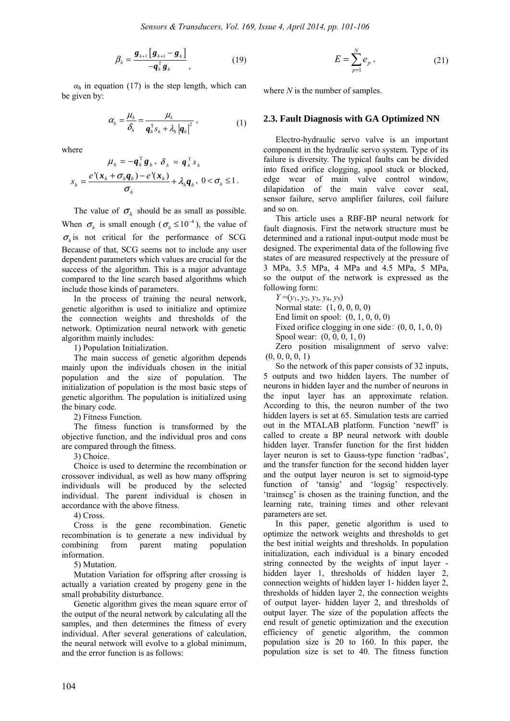$$
\beta_h = \frac{\boldsymbol{g}_{h+1} \left[ \boldsymbol{g}_{h+1} - \boldsymbol{g}_h \right]}{-\boldsymbol{q}_h^{\mathrm{T}} \boldsymbol{g}_h},\tag{19}
$$

 $\alpha$ <sub>h</sub> in equation (17) is the step length, which can be given by:

$$
\alpha_{h} = \frac{\mu_{h}}{\delta_{h}} = \frac{\mu_{k}}{\boldsymbol{q}_{h}^{\mathrm{T}} \boldsymbol{s}_{h} + \lambda_{h} |\boldsymbol{q}_{h}|^{2}},
$$
 (1)

where  
\n
$$
\mu_h = -\mathbf{q}_h^{\mathrm{T}} \mathbf{g}_h, \ \delta_h = \mathbf{q}_h^{\mathrm{T}} s_h
$$
\n
$$
s_h = \frac{e^{\mathrm{T}}(\mathbf{x}_h + \sigma_h \mathbf{q}_h) - e^{\mathrm{T}}(\mathbf{x}_h)}{\sigma_h} + \lambda_h \mathbf{q}_h, \ 0 < \sigma_h \le 1.
$$

The value of  $\sigma_{h}$  should be as small as possible. When  $\sigma_h$  is small enough ( $\sigma_h \le 10^{-4}$ ), the value of  $\sigma_h$  is not critical for the performance of SCG. Because of that, SCG seems not to include any user dependent parameters which values are crucial for the success of the algorithm. This is a major advantage compared to the line search based algorithms which include those kinds of parameters.

In the process of training the neural network, genetic algorithm is used to initialize and optimize the connection weights and thresholds of the network. Optimization neural network with genetic algorithm mainly includes:

1) Population Initialization.

The main success of genetic algorithm depends mainly upon the individuals chosen in the initial population and the size of population. The initialization of population is the most basic steps of genetic algorithm. The population is initialized using the binary code.

2) Fitness Function.

The fitness function is transformed by the objective function, and the individual pros and cons are compared through the fitness.

3) Choice.

Choice is used to determine the recombination or crossover individual, as well as how many offspring individuals will be produced by the selected individual. The parent individual is chosen in accordance with the above fitness.

4) Cross.

Cross is the gene recombination. Genetic recombination is to generate a new individual by combining from parent mating population information.

5) Mutation.

Mutation Variation for offspring after crossing is actually a variation created by progeny gene in the small probability disturbance.

Genetic algorithm gives the mean square error of the output of the neural network by calculating all the samples, and then determines the fitness of every individual. After several generations of calculation, the neural network will evolve to a global minimum, and the error function is as follows:

$$
E = \sum_{p=1}^{N} e_p , \qquad (21)
$$

where *N* is the number of samples.

## **2.3. Fault Diagnosis with GA Optimized NN**

Electro-hydraulic servo valve is an important component in the hydraulic servo system. Type of its failure is diversity. The typical faults can be divided into fixed orifice clogging, spool stuck or blocked, edge wear of main valve control window, dilapidation of the main valve cover seal, sensor failure, servo amplifier failures, coil failure and so on.

This article uses a RBF-BP neural network for fault diagnosis. First the network structure must be determined and a rational input-output mode must be designed. The experimental data of the following five states of are measured respectively at the pressure of 3 MPa, 3.5 MPa, 4 MPa and 4.5 MPa, 5 MPa, so the output of the network is expressed as the following form:

*Y* =(*y*1, *y*2, *y*3, *y*4, *y*5) Normal state: (1, 0, 0, 0, 0)

End limit on spool: (0, 1, 0, 0, 0)

Fixed orifice clogging in one side: (0, 0, 1, 0, 0)

Spool wear: (0, 0, 0, 1, 0)

Zero position misalignment of servo valve: (0, 0, 0, 0, 1)

So the network of this paper consists of 32 inputs, 5 outputs and two hidden layers. The number of neurons in hidden layer and the number of neurons in the input layer has an approximate relation. According to this, the neuron number of the two hidden layers is set at 65. Simulation tests are carried out in the MTALAB platform. Function 'newff' is called to create a BP neural network with double hidden layer. Transfer function for the first hidden layer neuron is set to Gauss-type function 'radbas', and the transfer function for the second hidden layer and the output layer neuron is set to sigmoid-type function of 'tansig' and 'logsig' respectively. 'trainscg' is chosen as the training function, and the learning rate, training times and other relevant parameters are set.

In this paper, genetic algorithm is used to optimize the network weights and thresholds to get the best initial weights and thresholds. In population initialization, each individual is a binary encoded string connected by the weights of input layer hidden layer 1, thresholds of hidden layer 2, connection weights of hidden layer 1- hidden layer 2, thresholds of hidden layer 2, the connection weights of output layer- hidden layer 2, and thresholds of output layer. The size of the population affects the end result of genetic optimization and the execution efficiency of genetic algorithm, the common population size is 20 to 160. In this paper, the population size is set to 40. The fitness function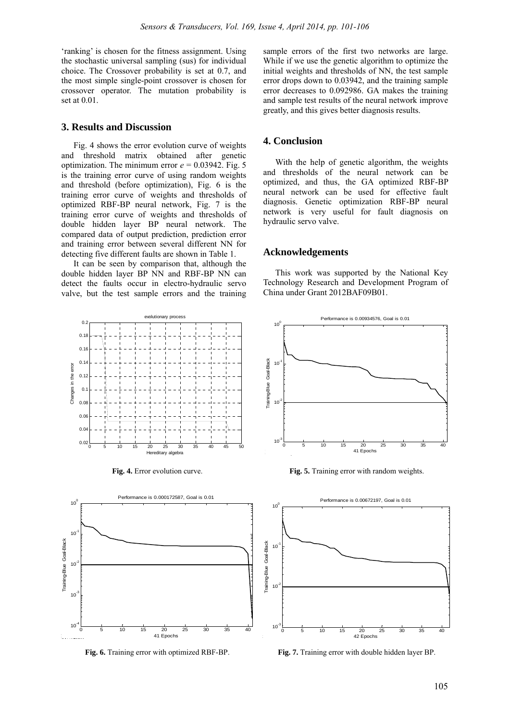'ranking' is chosen for the fitness assignment. Using the stochastic universal sampling (sus) for individual choice. The Crossover probability is set at 0.7, and the most simple single-point crossover is chosen for crossover operator. The mutation probability is set at 0.01.

#### **3. Results and Discussion**

Fig. 4 shows the error evolution curve of weights and threshold matrix obtained after genetic optimization. The minimum error  $e = 0.03942$ . Fig. 5 is the training error curve of using random weights and threshold (before optimization), Fig. 6 is the training error curve of weights and thresholds of optimized RBF-BP neural network, Fig. 7 is the training error curve of weights and thresholds of double hidden layer BP neural network. The compared data of output prediction, prediction error and training error between several different NN for detecting five different faults are shown in Table 1.

It can be seen by comparison that, although the double hidden layer BP NN and RBF-BP NN can detect the faults occur in electro-hydraulic servo valve, but the test sample errors and the training





sample errors of the first two networks are large. While if we use the genetic algorithm to optimize the initial weights and thresholds of NN, the test sample error drops down to 0.03942, and the training sample error decreases to 0.092986. GA makes the training and sample test results of the neural network improve greatly, and this gives better diagnosis results.

#### **4. Conclusion**

With the help of genetic algorithm, the weights and thresholds of the neural network can be optimized, and thus, the GA optimized RBF-BP neural network can be used for effective fault diagnosis. Genetic optimization RBF-BP neural network is very useful for fault diagnosis on hydraulic servo valve.

#### **Acknowledgements**

This work was supported by the National Key Technology Research and Development Program of China under Grant 2012BAF09B01.



**Fig. 4.** Error evolution curve. **Fig. 5.** Training error with random weights.



**Fig. 6.** Training error with optimized RBF-BP. **Fig. 7.** Training error with double hidden layer BP.